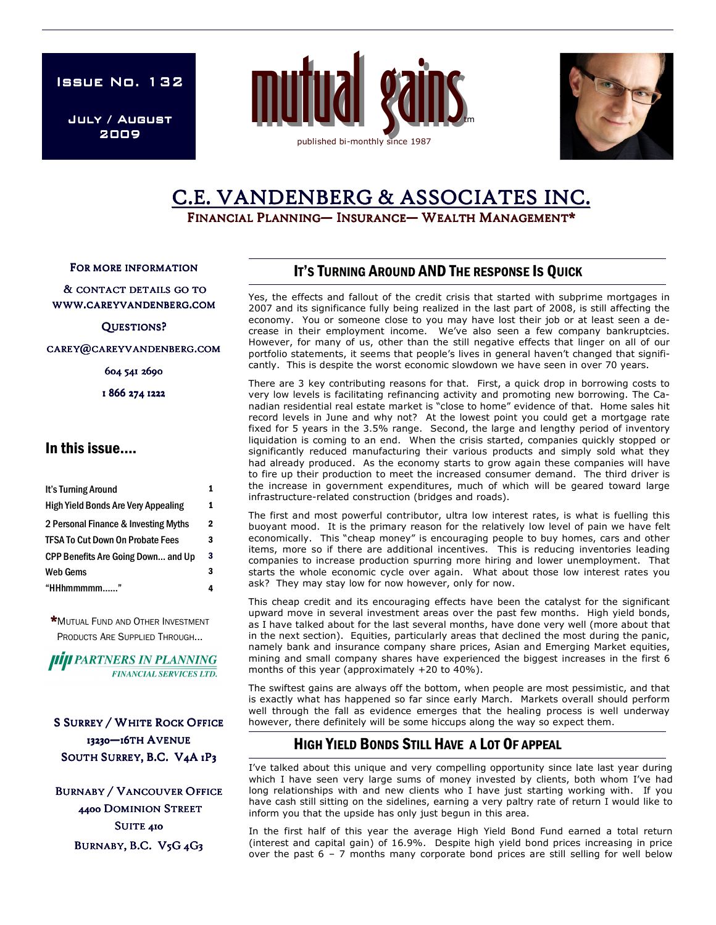**ISSUE NO. 132** 

July / August 2009





# C.E. VANDENBERG & ASSOCIATES INC.

FINANCIAL PLANNING— INSURANCE— WEALTH MANAGEMENT\*

FOR MORE INFORMATION

& CONTACT DETAILS GO TO WWW.CAREYVANDENBERG.COM

QUESTIONS?

CAREY@CAREYVANDENBERG.COM

604 541 2690

1 866 274 1222

### In this issue….

| It's Turning Around                        |   |
|--------------------------------------------|---|
| <b>High Yield Bonds Are Very Appealing</b> | 1 |
| 2 Personal Finance & Investing Myths       | 2 |
| <b>TFSA To Cut Down On Probate Fees</b>    | 3 |
| <b>CPP Benefits Are Going Down and Up</b>  | 3 |
| <b>Web Gems</b>                            | 3 |
| "HHhmmmmm"                                 |   |

\*MUTUAL FUND AND OTHER INVESTMENT PRODUCTS ARE SUPPLIED THROUGH...

*IIIII PARTNERS IN PLANNING* **FINANCIAL SERVICES LTD.** 

**S SURREY / WHITE ROCK OFFICE** 13230-16TH AVENUE SOUTH SURREY, B.C. V4A 1P3

**BURNABY / VANCOUVER OFFICE** 4400 DOMINION STREET SUITE 410 BURNABY, B.C. V5G 4G3

## IT'S TURNING AROUND AND THE RESPONSE IS QUICK

Yes, the effects and fallout of the credit crisis that started with subprime mortgages in 2007 and its significance fully being realized in the last part of 2008, is still affecting the economy. You or someone close to you may have lost their job or at least seen a decrease in their employment income. We've also seen a few company bankruptcies. However, for many of us, other than the still negative effects that linger on all of our portfolio statements, it seems that people's lives in general haven't changed that significantly. This is despite the worst economic slowdown we have seen in over 70 years.

There are 3 key contributing reasons for that. First, a quick drop in borrowing costs to very low levels is facilitating refinancing activity and promoting new borrowing. The Canadian residential real estate market is "close to home" evidence of that. Home sales hit record levels in June and why not? At the lowest point you could get a mortgage rate fixed for 5 years in the 3.5% range. Second, the large and lengthy period of inventory liquidation is coming to an end. When the crisis started, companies quickly stopped or significantly reduced manufacturing their various products and simply sold what they had already produced. As the economy starts to grow again these companies will have to fire up their production to meet the increased consumer demand. The third driver is the increase in government expenditures, much of which will be geared toward large infrastructure-related construction (bridges and roads).

The first and most powerful contributor, ultra low interest rates, is what is fuelling this buoyant mood. It is the primary reason for the relatively low level of pain we have felt economically. This "cheap money" is encouraging people to buy homes, cars and other items, more so if there are additional incentives. This is reducing inventories leading companies to increase production spurring more hiring and lower unemployment. That starts the whole economic cycle over again. What about those low interest rates you ask? They may stay low for now however, only for now.

This cheap credit and its encouraging effects have been the catalyst for the significant upward move in several investment areas over the past few months. High yield bonds, as I have talked about for the last several months, have done very well (more about that in the next section). Equities, particularly areas that declined the most during the panic, namely bank and insurance company share prices, Asian and Emerging Market equities, mining and small company shares have experienced the biggest increases in the first 6 months of this year (approximately +20 to 40%).

The swiftest gains are always off the bottom, when people are most pessimistic, and that is exactly what has happened so far since early March. Markets overall should perform well through the fall as evidence emerges that the healing process is well underway however, there definitely will be some hiccups along the way so expect them.

# HIGH YIELD BONDS STILL HAVE A LOT OF APPEAL

I've talked about this unique and very compelling opportunity since late last year during which I have seen very large sums of money invested by clients, both whom I've had long relationships with and new clients who I have just starting working with. If you have cash still sitting on the sidelines, earning a very paltry rate of return I would like to inform you that the upside has only just begun in this area.

In the first half of this year the average High Yield Bond Fund earned a total return (interest and capital gain) of 16.9%. Despite high yield bond prices increasing in price over the past 6 – 7 months many corporate bond prices are still selling for well below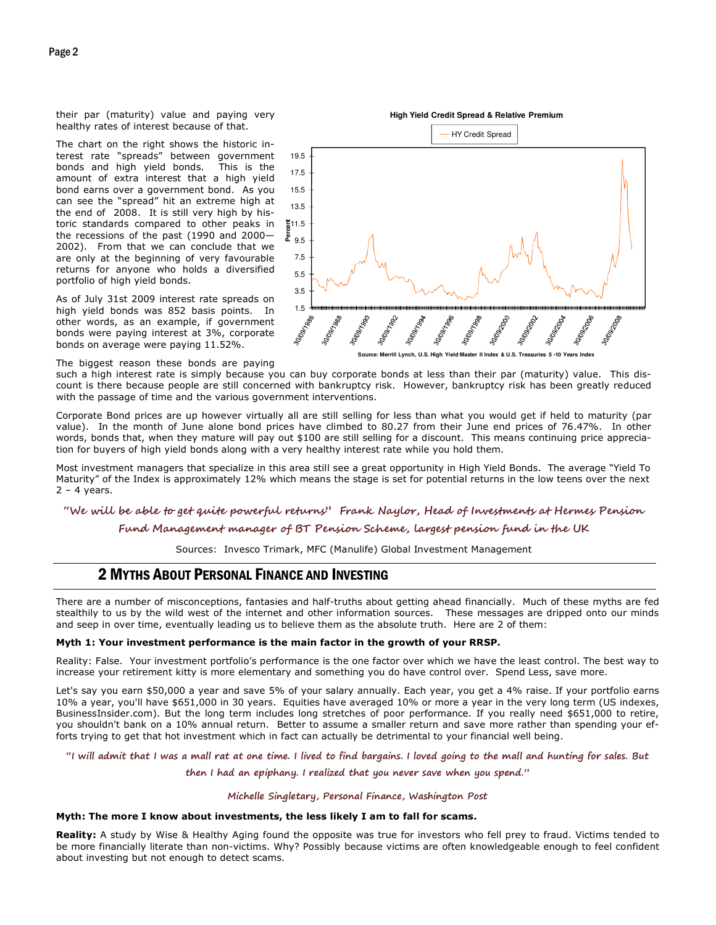their par (maturity) value and paying very healthy rates of interest because of that.

The chart on the right shows the historic interest rate "spreads" between government bonds and high yield bonds. This is the amount of extra interest that a high yield bond earns over a government bond. As you can see the "spread" hit an extreme high at the end of 2008. It is still very high by historic standards compared to other peaks in the recessions of the past (1990 and 2000— 2002). From that we can conclude that we are only at the beginning of very favourable returns for anyone who holds a diversified portfolio of high yield bonds.

As of July 31st 2009 interest rate spreads on high yield bonds was 852 basis points. In other words, as an example, if government bonds were paying interest at 3%, corporate bonds on average were paying 11.52%.

The biggest reason these bonds are paying

**High Yield Credit Spread & Relative Premium**



**Source: Merrill Lynch, U.S. High Yield Master II Index & U.S. Treasuries 5 -10 Years Index**

such a high interest rate is simply because you can buy corporate bonds at less than their par (maturity) value. This discount is there because people are still concerned with bankruptcy risk. However, bankruptcy risk has been greatly reduced with the passage of time and the various government interventions.

Corporate Bond prices are up however virtually all are still selling for less than what you would get if held to maturity (par value). In the month of June alone bond prices have climbed to 80.27 from their June end prices of 76.47%. In other words, bonds that, when they mature will pay out \$100 are still selling for a discount. This means continuing price appreciation for buyers of high yield bonds along with a very healthy interest rate while you hold them.

Most investment managers that specialize in this area still see a great opportunity in High Yield Bonds. The average "Yield To Maturity" of the Index is approximately 12% which means the stage is set for potential returns in the low teens over the next  $2 - 4$  years.

#### "We will be able to get quite powerful returns" Frank Naylor, Head of Investments at Hermes Pension

#### Fund Management manager of BT Pension Scheme, largest pension fund in the UK

Sources: Invesco Trimark, MFC (Manulife) Global Investment Management

### 2 MYTHS ABOUT PERSONAL FINANCE AND INVESTING

There are a number of misconceptions, fantasies and half-truths about getting ahead financially. Much of these myths are fed stealthily to us by the wild west of the internet and other information sources. These messages are dripped onto our minds and seep in over time, eventually leading us to believe them as the absolute truth. Here are 2 of them:

#### Myth 1: Your investment performance is the main factor in the growth of your RRSP.

Reality: False. Your investment portfolio's performance is the one factor over which we have the least control. The best way to increase your retirement kitty is more elementary and something you do have control over. Spend Less, save more.

Let's say you earn \$50,000 a year and save 5% of your salary annually. Each year, you get a 4% raise. If your portfolio earns 10% a year, you'll have \$651,000 in 30 years. Equities have averaged 10% or more a year in the very long term (US indexes, BusinessInsider.com). But the long term includes long stretches of poor performance. If you really need \$651,000 to retire, you shouldn't bank on a 10% annual return. Better to assume a smaller return and save more rather than spending your efforts trying to get that hot investment which in fact can actually be detrimental to your financial well being.

#### "I will admit that I was a mall rat at one time. I lived to find bargains. I loved going to the mall and hunting for sales. But

then I had an epiphany. I realized that you never save when you spend."

#### Michelle Singletary, Personal Finance, Washington Post

#### Myth: The more I know about investments, the less likely I am to fall for scams.

Reality: A study by Wise & Healthy Aging found the opposite was true for investors who fell prey to fraud. Victims tended to be more financially literate than non-victims. Why? Possibly because victims are often knowledgeable enough to feel confident about investing but not enough to detect scams.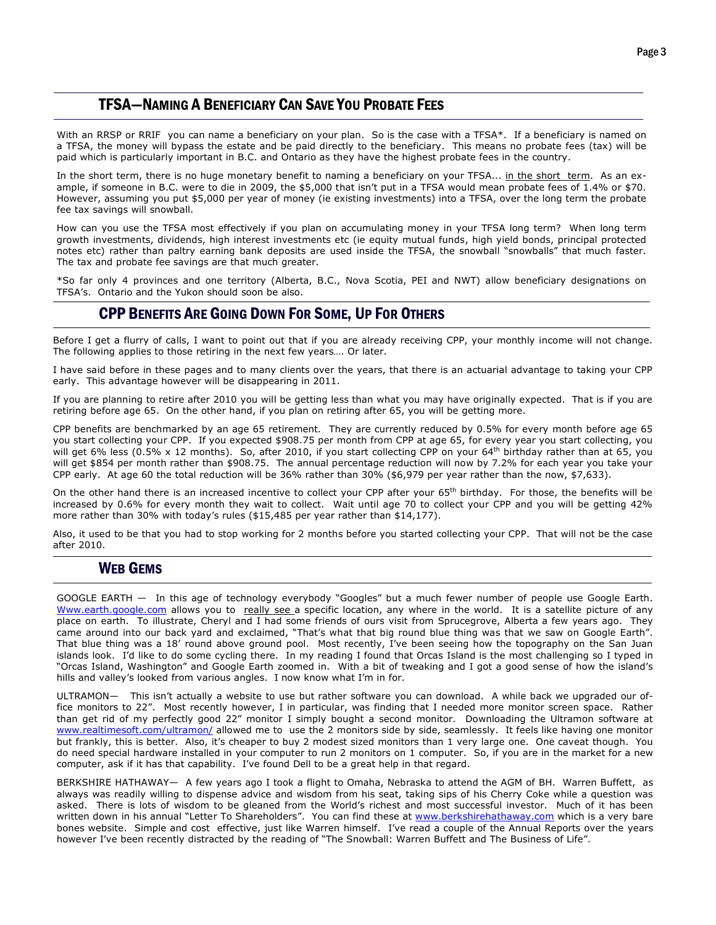## TFSA—NAMING A BENEFICIARY CAN SAVE YOU PROBATE FEES

With an RRSP or RRIF you can name a beneficiary on your plan. So is the case with a TFSA\*. If a beneficiary is named on a TFSA, the money will bypass the estate and be paid directly to the beneficiary. This means no probate fees (tax) will be paid which is particularly important in B.C. and Ontario as they have the highest probate fees in the country.

In the short term, there is no huge monetary benefit to naming a beneficiary on your TFSA... in the short term. As an example, if someone in B.C. were to die in 2009, the \$5,000 that isn't put in a TFSA would mean probate fees of 1.4% or \$70. However, assuming you put \$5,000 per year of money (ie existing investments) into a TFSA, over the long term the probate fee tax savings will snowball.

How can you use the TFSA most effectively if you plan on accumulating money in your TFSA long term? When long term growth investments, dividends, high interest investments etc (ie equity mutual funds, high yield bonds, principal protected notes etc) rather than paltry earning bank deposits are used inside the TFSA, the snowball "snowballs" that much faster. The tax and probate fee savings are that much greater.

 \*So far only 4 provinces and one territory (Alberta, B.C., Nova Scotia, PEI and NWT) allow beneficiary designations on TFSA's. Ontario and the Yukon should soon be also.

### CPP BENEFITS ARE GOING DOWN FOR SOME, UP FOR OTHERS

Before I get a flurry of calls, I want to point out that if you are already receiving CPP, your monthly income will not change. The following applies to those retiring in the next few years…. Or later.

I have said before in these pages and to many clients over the years, that there is an actuarial advantage to taking your CPP early. This advantage however will be disappearing in 2011.

If you are planning to retire after 2010 you will be getting less than what you may have originally expected. That is if you are retiring before age 65. On the other hand, if you plan on retiring after 65, you will be getting more.

CPP benefits are benchmarked by an age 65 retirement. They are currently reduced by 0.5% for every month before age 65 you start collecting your CPP. If you expected \$908.75 per month from CPP at age 65, for every year you start collecting, you will get 6% less (0.5% x 12 months). So, after 2010, if you start collecting CPP on your 64<sup>th</sup> birthday rather than at 65, you will get \$854 per month rather than \$908.75. The annual percentage reduction will now by 7.2% for each year you take your CPP early. At age 60 the total reduction will be 36% rather than 30% (\$6,979 per year rather than the now, \$7,633).

On the other hand there is an increased incentive to collect your CPP after your 65<sup>th</sup> birthday. For those, the benefits will be increased by 0.6% for every month they wait to collect. Wait until age 70 to collect your CPP and you will be getting 42% more rather than 30% with today's rules (\$15,485 per year rather than \$14,177).

Also, it used to be that you had to stop working for 2 months before you started collecting your CPP. That will not be the case after 2010.

### WEB GEMS

GOOGLE EARTH — In this age of technology everybody "Googles" but a much fewer number of people use Google Earth. Www.earth.google.com allows you to really see a specific location, any where in the world. It is a satellite picture of any place on earth. To illustrate, Cheryl and I had some friends of ours visit from Sprucegrove, Alberta a few years ago. They came around into our back yard and exclaimed, "That's what that big round blue thing was that we saw on Google Earth". That blue thing was a 18' round above ground pool. Most recently, I've been seeing how the topography on the San Juan islands look. I'd like to do some cycling there. In my reading I found that Orcas Island is the most challenging so I typed in "Orcas Island, Washington" and Google Earth zoomed in. With a bit of tweaking and I got a good sense of how the island's hills and valley's looked from various angles. I now know what I'm in for.

ULTRAMON— This isn't actually a website to use but rather software you can download. A while back we upgraded our office monitors to 22". Most recently however, I in particular, was finding that I needed more monitor screen space. Rather than get rid of my perfectly good 22" monitor I simply bought a second monitor. Downloading the Ultramon software at www.realtimesoft.com/ultramon/ allowed me to use the 2 monitors side by side, seamlessly. It feels like having one monitor but frankly, this is better. Also, it's cheaper to buy 2 modest sized monitors than 1 very large one. One caveat though. You do need special hardware installed in your computer to run 2 monitors on 1 computer. So, if you are in the market for a new computer, ask if it has that capability. I've found Dell to be a great help in that regard.

BERKSHIRE HATHAWAY— A few years ago I took a flight to Omaha, Nebraska to attend the AGM of BH. Warren Buffett, as always was readily willing to dispense advice and wisdom from his seat, taking sips of his Cherry Coke while a question was asked. There is lots of wisdom to be gleaned from the World's richest and most successful investor. Much of it has been written down in his annual "Letter To Shareholders". You can find these at www.berkshirehathaway.com which is a very bare bones website. Simple and cost effective, just like Warren himself. I've read a couple of the Annual Reports over the years however I've been recently distracted by the reading of "The Snowball: Warren Buffett and The Business of Life".